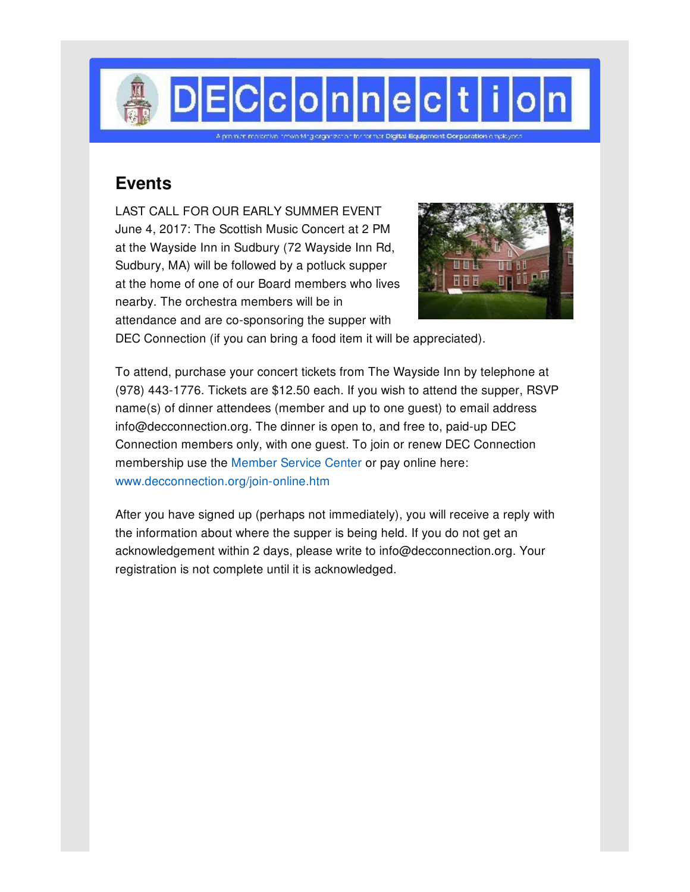

## **Events**

LAST CALL FOR OUR EARLY SUMMER EVENT June 4, 2017: The Scottish Music Concert at 2 PM at the Wayside Inn in Sudbury (72 Wayside Inn Rd, Sudbury, MA) will be followed by a potluck supper at the home of one of our Board members who lives nearby. The orchestra members will be in attendance and are co-sponsoring the supper with



DEC Connection (if you can bring a food item it will be appreciated).

To attend, purchase your concert tickets from The Wayside Inn by telephone at (978) 443-1776. Tickets are \$12.50 each. If you wish to attend the supper, RSVP name(s) of dinner attendees (member and up to one guest) to email address info@decconnection.org. The dinner is open to, and free to, paid-up DEC Connection members only, with one guest. To join or renew DEC Connection membership use the [Member](http://www.decconnection.org/msclogin.php) Service Center or pay online here: [www.decconnection.org/join-online.htm](http://www.decconnection.org/join-online.htm)

After you have signed up (perhaps not immediately), you will receive a reply with the information about where the supper is being held. If you do not get an acknowledgement within 2 days, please write to info@decconnection.org. Your registration is not complete until it is acknowledged.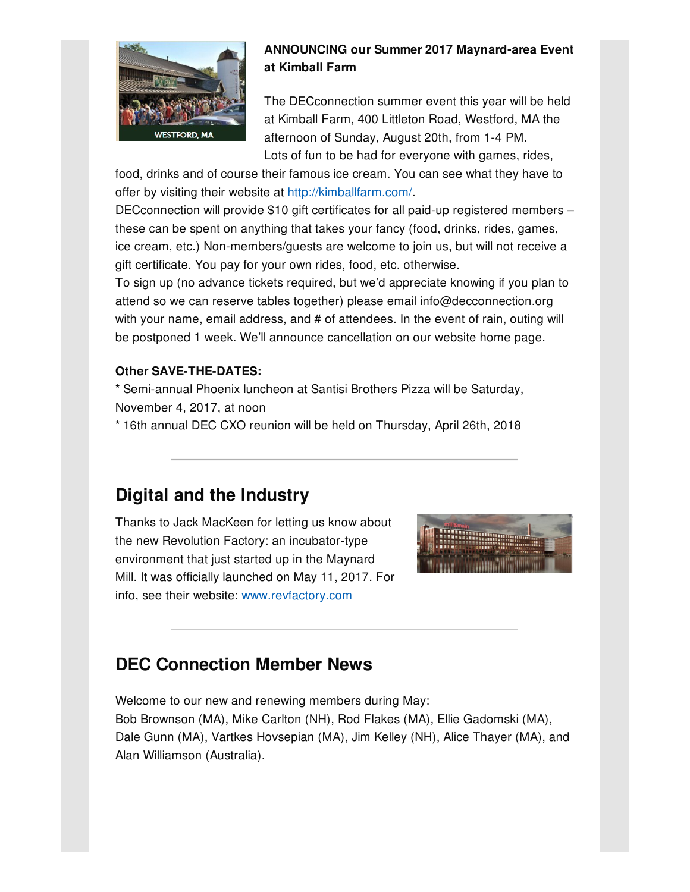

### **ANNOUNCING our Summer 2017 Maynard-area Event at Kimball Farm**

The DECconnection summer event this year will be held at Kimball Farm, 400 Littleton Road, Westford, MA the afternoon of Sunday, August 20th, from 1-4 PM. Lots of fun to be had for everyone with games, rides,

food, drinks and of course their famous ice cream. You can see what they have to offer by visiting their website at [http://kimballfarm.com/](http://kimballfarm.com).

DECconnection will provide \$10 gift certificates for all paid-up registered members – these can be spent on anything that takes your fancy (food, drinks, rides, games, ice cream, etc.) Non-members/guests are welcome to join us, but will not receive a gift certificate. You pay for your own rides, food, etc. otherwise.

To sign up (no advance tickets required, but we'd appreciate knowing if you plan to attend so we can reserve tables together) please email info@decconnection.org with your name, email address, and # of attendees. In the event of rain, outing will be postponed 1 week. We'll announce cancellation on our website home page.

### **Other SAVE-THE-DATES:**

\* Semi-annual Phoenix luncheon at Santisi Brothers Pizza will be Saturday, November 4, 2017, at noon

\* 16th annual DEC CXO reunion will be held on Thursday, April 26th, 2018

# **Digital and the Industry**

Thanks to Jack MacKeen for letting us know about the new Revolution Factory: an incubator-type environment that just started up in the Maynard Mill. It was officially launched on May 11, 2017. For info, see their website: [www.revfactory.com](http://www.revfactory.com)



# **DEC Connection Member News**

Welcome to our new and renewing members during May: Bob Brownson (MA), Mike Carlton (NH), Rod Flakes (MA), Ellie Gadomski (MA), Dale Gunn (MA), Vartkes Hovsepian (MA), Jim Kelley (NH), Alice Thayer (MA), and Alan Williamson (Australia).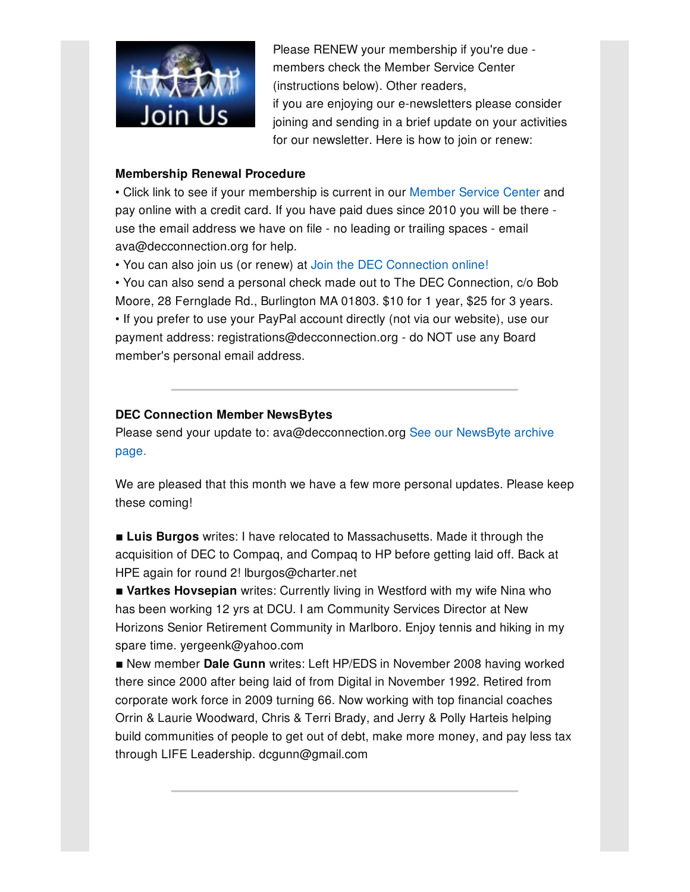

Please RENEW your membership if you're due members check the Member Service Center (instructions below). Other readers,

if you are enjoying our e-newsletters please consider joining and sending in a brief update on your activities for our newsletter. Here is how to join or renew:

#### **Membership Renewal Procedure**

• Click link to see if your membership is current in our [Member](http://www.decconnection.org/msclogin.php) Service Center and pay online with a credit card. If you have paid dues since 2010 you will be there use the email address we have on file - no leading or trailing spaces - email ava@decconnection.org for help.

• You can also join us (or renew) at Join the DEC [Connection](http://www.decconnection.org/join-online.htm) online!

• You can also send a personal check made out to The DEC Connection, c/o Bob Moore, 28 Fernglade Rd., Burlington MA 01803. \$10 for 1 year, \$25 for 3 years. • If you prefer to use your PayPal account directly (not via our website), use our payment address: registrations@decconnection.org - do NOT use any Board member's personal email address.

### **DEC Connection Member NewsBytes**

Please send your update to: [ava@decconnection.org](http://www.decconnection.org/newsbytes.htm) See our NewsByte archive page.

We are pleased that this month we have a few more personal updates. Please keep these coming!

**Luis Burgos** writes: I have relocated to Massachusetts. Made it through the acquisition of DEC to Compaq, and Compaq to HP before getting laid off. Back at HPE again for round 2! lburgos@charter.net

**E** Vartkes Hovsepian writes: Currently living in Westford with my wife Nina who has been working 12 yrs at DCU. I am Community Services Director at New Horizons Senior Retirement Community in Marlboro. Enjoy tennis and hiking in my spare time. yergeenk@yahoo.com

**Example 10 New member Dale Gunn writes: Left HP/EDS in November 2008 having worked** there since 2000 after being laid of from Digital in November 1992. Retired from corporate work force in 2009 turning 66. Now working with top financial coaches Orrin & Laurie Woodward, Chris & Terri Brady, and Jerry & Polly Harteis helping build communities of people to get out of debt, make more money, and pay less tax through LIFE Leadership. dcgunn@gmail.com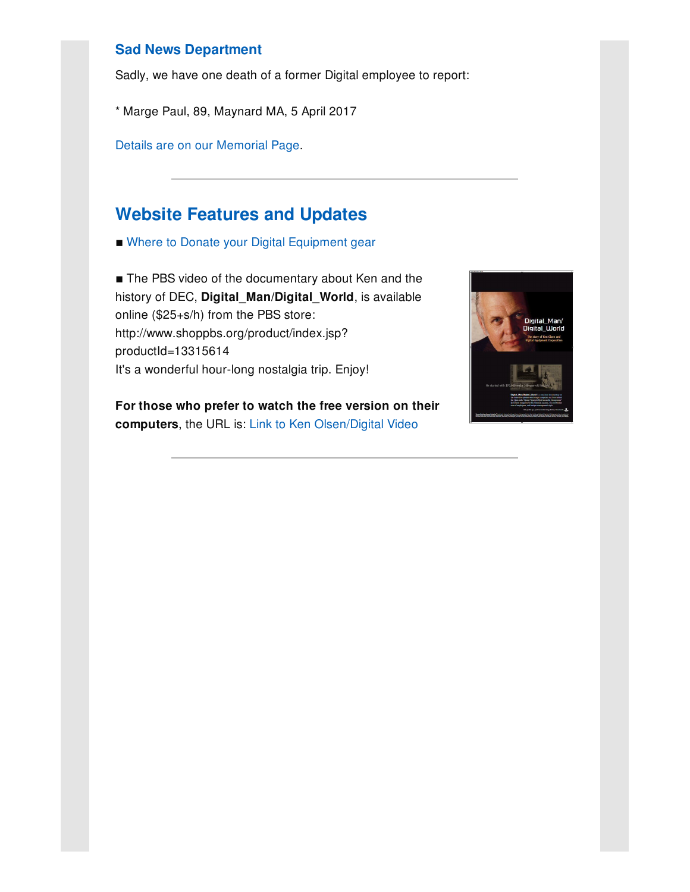### **Sad News Department**

Sadly, we have one death of a former Digital employee to report:

\* Marge Paul, 89, Maynard MA, 5 April 2017

Details are on our [Memorial](http://www.decconnection.org/memorials.htm) Page.

## **Website [Features](http://www.decconnection.org) and Updates**

■ Where to Donate your Digital [Equipment](http://www.decconnection.org/DECdonations.htm) gear

■ The PBS video of the documentary about Ken and the history of DEC, **Digital\_Man/Digital\_World**, is available online (\$25+s/h) from the PBS store: http://www.shoppbs.org/product/index.jsp? productId=13315614 It's a wonderful hour-long nostalgia trip. Enjoy!

**For those who prefer to watch the free version on their computers**, the URL is: Link to Ken [Olsen/Digital](http://video.wfyi.org/video/2282149336/) Video